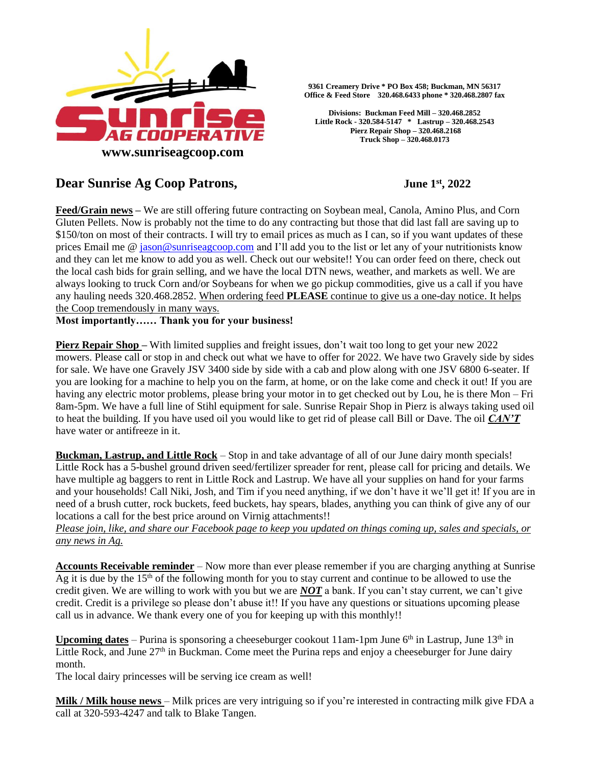

**9361 Creamery Drive \* PO Box 458; Buckman, MN 56317 Office & Feed Store 320.468.6433 phone \* 320.468.2807 fax**

**Divisions: Buckman Feed Mill – 320.468.2852 Little Rock - 320.584-5147 \* Lastrup – 320.468.2543 Pierz Repair Shop – 320.468.2168 Truck Shop – 320.468.0173**

## **Dear Sunrise Ag Coop Patrons,**

## **, 2022**

**Feed/Grain news –** We are still offering future contracting on Soybean meal, Canola, Amino Plus, and Corn Gluten Pellets. Now is probably not the time to do any contracting but those that did last fall are saving up to \$150/ton on most of their contracts. I will try to email prices as much as I can, so if you want updates of these prices Email me [@ jason@sunriseagcoop.com](mailto:jason@sunriseagcoop.com) and I'll add you to the list or let any of your nutritionists know and they can let me know to add you as well. Check out our website!! You can order feed on there, check out the local cash bids for grain selling, and we have the local DTN news, weather, and markets as well. We are always looking to truck Corn and/or Soybeans for when we go pickup commodities, give us a call if you have any hauling needs 320.468.2852. When ordering feed **PLEASE** continue to give us a one-day notice. It helps the Coop tremendously in many ways.

**Most importantly…… Thank you for your business!** 

**Pierz Repair Shop –** With limited supplies and freight issues, don't wait too long to get your new 2022 mowers. Please call or stop in and check out what we have to offer for 2022. We have two Gravely side by sides for sale. We have one Gravely JSV 3400 side by side with a cab and plow along with one JSV 6800 6-seater. If you are looking for a machine to help you on the farm, at home, or on the lake come and check it out! If you are having any electric motor problems, please bring your motor in to get checked out by Lou, he is there Mon – Fri 8am-5pm. We have a full line of Stihl equipment for sale. Sunrise Repair Shop in Pierz is always taking used oil to heat the building. If you have used oil you would like to get rid of please call Bill or Dave. The oil *CAN'T* have water or antifreeze in it.

**Buckman, Lastrup, and Little Rock** – Stop in and take advantage of all of our June dairy month specials! Little Rock has a 5-bushel ground driven seed/fertilizer spreader for rent, please call for pricing and details. We have multiple ag baggers to rent in Little Rock and Lastrup. We have all your supplies on hand for your farms and your households! Call Niki, Josh, and Tim if you need anything, if we don't have it we'll get it! If you are in need of a brush cutter, rock buckets, feed buckets, hay spears, blades, anything you can think of give any of our locations a call for the best price around on Virnig attachments!!

*Please join, like, and share our Facebook page to keep you updated on things coming up, sales and specials, or any news in Ag.*

**Accounts Receivable reminder** – Now more than ever please remember if you are charging anything at Sunrise Ag it is due by the  $15<sup>th</sup>$  of the following month for you to stay current and continue to be allowed to use the credit given. We are willing to work with you but we are *NOT* a bank. If you can't stay current, we can't give credit. Credit is a privilege so please don't abuse it!! If you have any questions or situations upcoming please call us in advance. We thank every one of you for keeping up with this monthly!!

Upcoming dates – Purina is sponsoring a cheeseburger cookout 11am-1pm June 6<sup>th</sup> in Lastrup, June 13<sup>th</sup> in Little Rock, and June  $27<sup>th</sup>$  in Buckman. Come meet the Purina reps and enjoy a cheeseburger for June dairy month.

The local dairy princesses will be serving ice cream as well!

**Milk / Milk house news** – Milk prices are very intriguing so if you're interested in contracting milk give FDA a call at 320-593-4247 and talk to Blake Tangen.